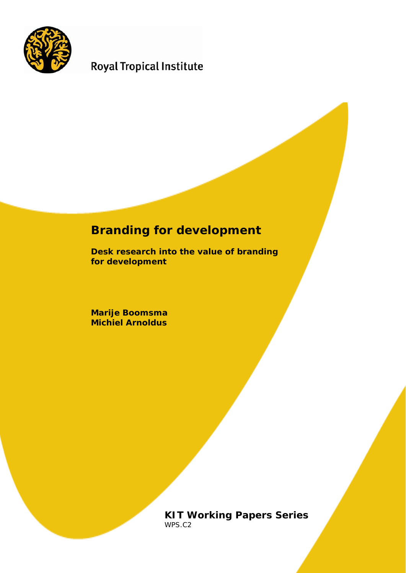

# **Royal Tropical Institute**

# **Branding for development**

**Desk research into the value of branding for development**

**Marije Boomsma Michiel Arnoldus**

> **KIT Working Papers Series**  WPS.C2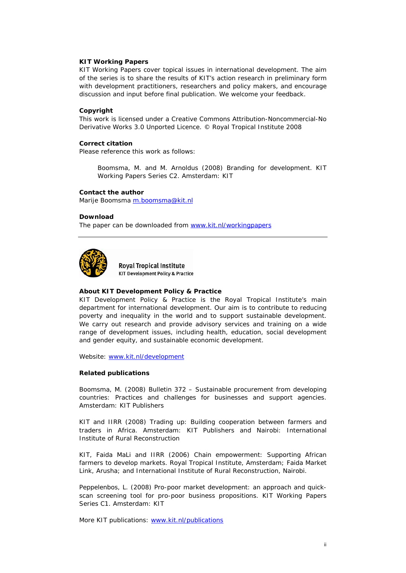#### **KIT Working Papers**

KIT Working Papers cover topical issues in international development. The aim of the series is to share the results of KIT's action research in preliminary form with development practitioners, researchers and policy makers, and encourage discussion and input before final publication. We welcome your feedback.

#### **Copyright**

This work is licensed under a Creative Commons Attribution-Noncommercial-No Derivative Works 3.0 Unported Licence. © Royal Tropical Institute 2008

#### **Correct citation**

Please reference this work as follows:

Boomsma, M. and M. Arnoldus (2008) *Branding for development.* KIT Working Papers Series C2. Amsterdam: KIT

#### **Contact the author**

Marije Boomsma [m.boomsma@kit.nl](mailto:m.boomsma@kit.nl)

#### **Download**

The paper can be downloaded from [www.kit.nl/workingpapers](http://www.kit.nl/workingpapers)



**Roval Tropical Institute KIT Development Policy & Practice** 

#### **About KIT Development Policy & Practice**

KIT Development Policy & Practice is the Royal Tropical Institute's main department for international development. Our aim is to contribute to reducing poverty and inequality in the world and to support sustainable development. We carry out research and provide advisory services and training on a wide range of development issues, including health, education, social development and gender equity, and sustainable economic development.

Website: [www.kit.nl/development](http://www.kit.nl/development)

#### **Related publications**

Boomsma, M. (2008) *Bulletin 372 – Sustainable procurement from developing countries: Practices and challenges for businesses and support agencies*. Amsterdam: KIT Publishers

KIT and IIRR (2008) *Trading up: Building cooperation between farmers and traders in Africa.* Amsterdam: KIT Publishers and Nairobi: International Institute of Rural Reconstruction

KIT, Faida MaLi and IIRR (2006) *Chain empowerment: Supporting African farmers to develop markets*. Royal Tropical Institute, Amsterdam; Faida Market Link, Arusha; and International Institute of Rural Reconstruction, Nairobi.

Peppelenbos, L. (2008) *Pro-poor market development: an approach and quickscan screening tool for pro-poor business propositions*. KIT Working Papers Series C1. Amsterdam: KIT

More KIT publications: [www.kit.nl/publications](http://www.kit.nl/publications)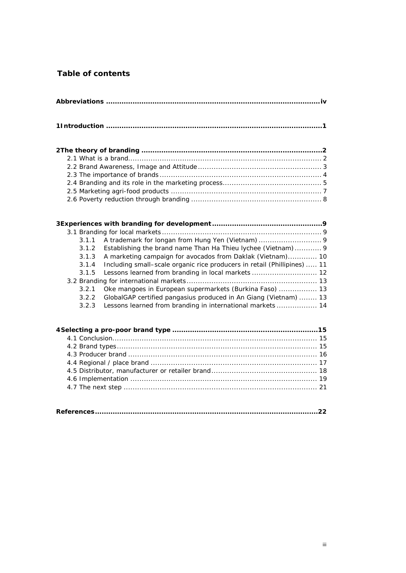# **Table of contents**

| A trademark for longan from Hung Yen (Vietnam)  9<br>3.1.1<br>Establishing the brand name Than Ha Thieu lychee (Vietnam) 9<br>3.1.2<br>A marketing campaign for avocados from Daklak (Vietnam) 10<br>3.1.3<br>Including small-scale organic rice producers in retail (Phillipines)  11<br>3.1.4<br>Lessons learned from branding in local markets  12<br>3.1.5<br>Oke mangoes in European supermarkets (Burkina Faso)  13<br>3.2.1<br>GlobalGAP certified pangasius produced in An Giang (Vietnam)  13<br>3.2.2<br>Lessons learned from branding in international markets  14<br>3.2.3 |  |
|----------------------------------------------------------------------------------------------------------------------------------------------------------------------------------------------------------------------------------------------------------------------------------------------------------------------------------------------------------------------------------------------------------------------------------------------------------------------------------------------------------------------------------------------------------------------------------------|--|
|                                                                                                                                                                                                                                                                                                                                                                                                                                                                                                                                                                                        |  |

**[References.....................................................................................................22](#page-25-0)**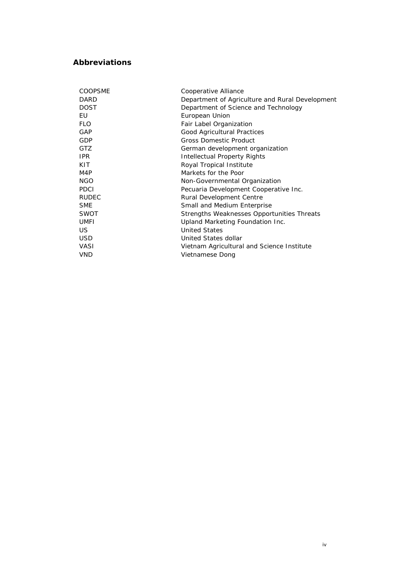# <span id="page-3-0"></span>**Abbreviations**

| <b>COOPSME</b> | Cooperative Alliance                            |  |
|----------------|-------------------------------------------------|--|
| <b>DARD</b>    | Department of Agriculture and Rural Development |  |
| <b>DOST</b>    | Department of Science and Technology            |  |
| EU             | European Union                                  |  |
| <b>FLO</b>     | Fair Label Organization                         |  |
| GAP            | Good Agricultural Practices                     |  |
| <b>GDP</b>     | <b>Gross Domestic Product</b>                   |  |
| GTZ            | German development organization                 |  |
| IPR.           | Intellectual Property Rights                    |  |
| KIT.           | Royal Tropical Institute                        |  |
| M4P            | Markets for the Poor                            |  |
| <b>NGO</b>     | Non-Governmental Organization                   |  |
| <b>PDCI</b>    | Pecuaria Development Cooperative Inc.           |  |
| <b>RUDEC</b>   | Rural Development Centre                        |  |
| <b>SME</b>     | Small and Medium Enterprise                     |  |
| <b>SWOT</b>    | Strengths Weaknesses Opportunities Threats      |  |
| <b>UMFI</b>    | Upland Marketing Foundation Inc.                |  |
| US.            | <b>United States</b>                            |  |
| <b>USD</b>     | United States dollar                            |  |
| <b>VASI</b>    | Vietnam Agricultural and Science Institute      |  |
| <b>VND</b>     | Vietnamese Dong                                 |  |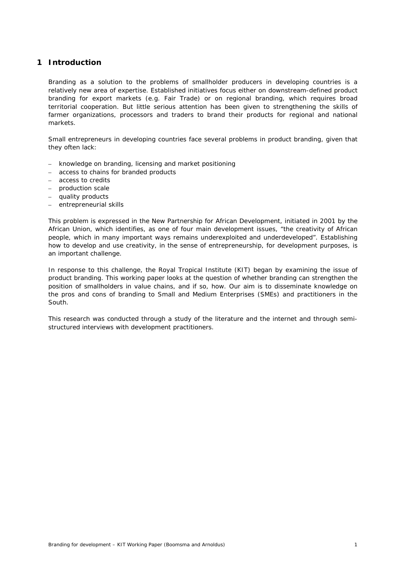# <span id="page-4-0"></span>**1 Introduction**

Branding as a solution to the problems of smallholder producers in developing countries is a relatively new area of expertise. Established initiatives focus either on downstream-defined product branding for export markets (e.g. Fair Trade) or on regional branding, which requires broad territorial cooperation. But little serious attention has been given to strengthening the skills of farmer organizations, processors and traders to brand their products for regional and national markets.

Small entrepreneurs in developing countries face several problems in product branding, given that they often lack:

- knowledge on branding, licensing and market positioning
- access to chains for branded products
- access to credits
- production scale
- quality products
- entrepreneurial skills

This problem is expressed in the New Partnership for African Development, initiated in 2001 by the African Union, which identifies, as one of four main development issues, "the creativity of African people, which in many important ways remains underexploited and underdeveloped". Establishing how to develop and use creativity, in the sense of entrepreneurship, for development purposes, is an important challenge.

In response to this challenge, the Royal Tropical Institute (KIT) began by examining the issue of product branding. This working paper looks at the question of whether branding can strengthen the position of smallholders in value chains, and if so, how. Our aim is to disseminate knowledge on the pros and cons of branding to Small and Medium Enterprises (SMEs) and practitioners in the South.

This research was conducted through a study of the literature and the internet and through semistructured interviews with development practitioners.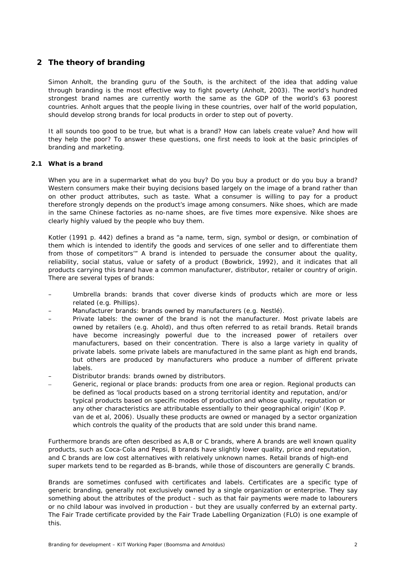# <span id="page-5-0"></span>**2 The theory of branding**

Simon Anholt, the branding guru of the South, is the architect of the idea that adding value through branding is the most effective way to fight poverty (Anholt, 2003). The world's hundred strongest brand names are currently worth the same as the GDP of the world's 63 poorest countries. Anholt argues that the people living in these countries, over half of the world population, should develop strong brands for local products in order to step out of poverty.

It all sounds too good to be true, but what is a brand? How can labels create value? And how will they help the poor? To answer these questions, one first needs to look at the basic principles of branding and marketing.

## <span id="page-5-1"></span>**2.1 What is a brand**

When you are in a supermarket what do you buy? Do you buy a product or do you buy a brand? Western consumers make their buying decisions based largely on the image of a brand rather than on other product attributes, such as taste. What a consumer is willing to pay for a product therefore strongly depends on the product's image among consumers. Nike shoes, which are made in the same Chinese factories as no-name shoes, are five times more expensive. Nike shoes are clearly highly valued by the people who buy them.

Kotler (1991 p. 442) defines a brand as "a name, term, sign, symbol or design, or combination of them which is intended to identify the goods and services of one seller and to differentiate them from those of competitors'" A brand is intended to persuade the consumer about the quality, reliability, social status, value or safety of a product (Bowbrick, 1992), and it indicates that all products carrying this brand have a common manufacturer, distributor, retailer or country of origin. There are several types of brands:

- Umbrella brands: brands that cover diverse kinds of products which are more or less related (e.g. Phillips).
- Manufacturer brands: brands owned by manufacturers (e.g. Nestlé).
- Private labels: the owner of the brand is not the manufacturer. Most private labels are owned by retailers (e.g. Ahold), and thus often referred to as retail brands. Retail brands have become increasingly powerful due to the increased power of retailers over manufacturers, based on their concentration. There is also a large variety in quality of private labels. some private labels are manufactured in the same plant as high end brands, but others are produced by manufacturers who produce a number of different private labels.
- Distributor brands: brands owned by distributors.
- Generic, regional or place brands: products from one area or region. Regional products can be defined as 'local products based on a strong territorial identity and reputation, and/or typical products based on specific modes of production and whose quality, reputation or any other characteristics are attributable essentially to their geographical origin' (Kop P. van de et al, 2006). Usually these products are owned or managed by a sector organization which controls the quality of the products that are sold under this brand name.

Furthermore brands are often described as A,B or C brands, where A brands are well known quality products, such as Coca-Cola and Pepsi, B brands have slightly lower quality, price and reputation, and C brands are low cost alternatives with relatively unknown names. Retail brands of high-end super markets tend to be regarded as B-brands, while those of discounters are generally C brands.

Brands are sometimes confused with certificates and labels. Certificates are a specific type of generic branding, generally not exclusively owned by a single organization or enterprise. They say something about the attributes of the product - such as that fair payments were made to labourers or no child labour was involved in production - but they are usually conferred by an external party. The Fair Trade certificate provided by the Fair Trade Labelling Organization (FLO) is one example of this.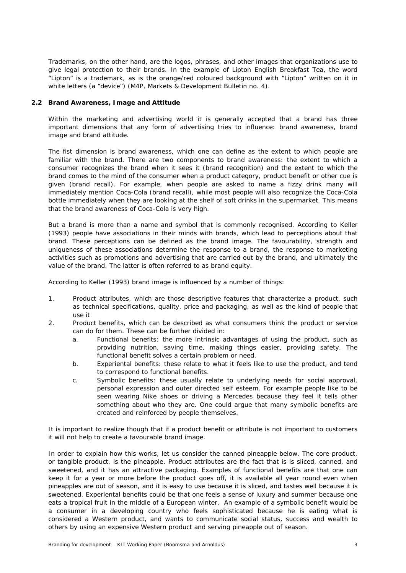Trademarks, on the other hand, are the logos, phrases, and other images that organizations use to give legal protection to their brands. In the example of Lipton English Breakfast Tea, the word "Lipton" is a trademark, as is the orange/red coloured background with "Lipton" written on it in white letters (a "device") (M4P, Markets & Development Bulletin no. 4).

#### <span id="page-6-0"></span>**2.2 Brand Awareness, Image and Attitude**

Within the marketing and advertising world it is generally accepted that a brand has three important dimensions that any form of advertising tries to influence: brand awareness, brand image and brand attitude.

The fist dimension is brand awareness, which one can define as the extent to which people are familiar with the brand. There are two components to brand awareness: the extent to which a consumer recognizes the brand when it sees it (brand recognition) and the extent to which the brand comes to the mind of the consumer when a product category, product benefit or other cue is given (brand recall). For example, when people are asked to name a fizzy drink many will immediately mention Coca-Cola (brand recall), while most people will also recognize the Coca-Cola bottle immediately when they are looking at the shelf of soft drinks in the supermarket. This means that the brand awareness of Coca-Cola is very high.

But a brand is more than a name and symbol that is commonly recognised. According to Keller (1993) people have associations in their minds with brands, which lead to perceptions about that brand. These perceptions can be defined as the brand image. The favourability, strength and uniqueness of these associations determine the response to a brand, the response to marketing activities such as promotions and advertising that are carried out by the brand, and ultimately the value of the brand. The latter is often referred to as brand equity.

According to Keller (1993) brand image is influenced by a number of things:

- 1. Product attributes, which are those descriptive features that characterize a product, such as technical specifications, quality, price and packaging, as well as the kind of people that use it
- 2. Product benefits, which can be described as what consumers think the product or service can do for them. These can be further divided in:
	- a. Functional benefits: the more intrinsic advantages of using the product, such as providing nutrition, saving time, making things easier, providing safety. The functional benefit solves a certain problem or need.
	- b. Experiental benefits: these relate to what it feels like to use the product, and tend to correspond to functional benefits.
	- c. Symbolic benefits: these usually relate to underlying needs for social approval, personal expression and outer directed self esteem. For example people like to be seen wearing Nike shoes or driving a Mercedes because they feel it tells other something about who they are. One could argue that many symbolic benefits are created and reinforced by people themselves.

It is important to realize though that if a product benefit or attribute is not important to customers it will not help to create a favourable brand image.

In order to explain how this works, let us consider the canned pineapple below. The core product, or tangible product, is the pineapple. Product attributes are the fact that is is sliced, canned, and sweetened, and it has an attractive packaging. Examples of functional benefits are that one can keep it for a year or more before the product goes off, it is available all year round even when pineapples are out of season, and it is easy to use because it is sliced, and tastes well because it is sweetened. Experiental benefits could be that one feels a sense of luxury and summer because one eats a tropical fruit in the middle of a European winter. An example of a symbolic benefit would be a consumer in a developing country who feels sophisticated because he is eating what is considered a Western product, and wants to communicate social status, success and wealth to others by using an expensive Western product and serving pineapple out of season.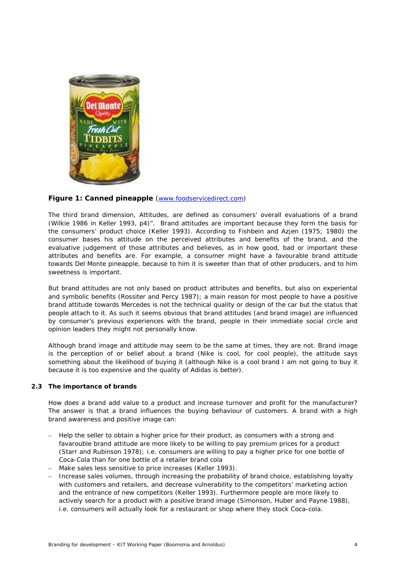

# **Figure 1: Canned pineapple** ([www.foodservicedirect.com](http://www.foodservicedirect.com/))

The third brand dimension, Attitudes, are defined as consumers' overall evaluations of a brand (Wilkie 1986 in Keller 1993, p4)". Brand attitudes are important because they form the basis for the consumers' product choice (Keller 1993). According to Fishbein and Azjen (1975; 1980) the consumer bases his attitude on the perceived attributes and benefits of the brand, and the evaluative judgement of those attributes and believes, as in how good, bad or important these attributes and benefits are. For example, a consumer might have a favourable brand attitude towards Del Monte pineapple, because to him it is sweeter than that of other producers, and to him sweetness is important.

But brand attitudes are not only based on product attributes and benefits, but also on experiental and symbolic benefits (Rossiter and Percy 1987); a main reason for most people to have a positive brand attitude towards Mercedes is not the technical quality or design of the car but the status that people attach to it. As such it seems obvious that brand attitudes (and brand image) are influenced by consumer's previous experiences with the brand, people in their immediate social circle and opinion leaders they might not personally know.

Although brand image and attitude may seem to be the same at times, they are not. Brand image is the perception of or belief about a brand (Nike is cool, for cool people), the attitude says something about the likelihood of buying it (although Nike is a cool brand I am not going to buy it because it is too expensive and the quality of Adidas is better).

#### <span id="page-7-0"></span>**2.3 The importance of brands**

How does a brand add value to a product and increase turnover and profit for the manufacturer? The answer is that a brand influences the buying behaviour of customers. A brand with a high brand awareness and positive image can:

- Help the seller to obtain a higher price for their product, as consumers with a strong and favarouble brand attitude are more likely to be willing to pay premium prices for a product (Starr and Rubinson 1978); i.e. consumers are willing to pay a higher price for one bottle of Coca-Cola than for one bottle of a retailer brand cola
- Make sales less sensitive to price increases (Keller 1993).
- Increase sales volumes, through increasing the probability of brand choice, establishing loyalty with customers and retailers, and decrease vulnerability to the competitors' marketing action and the entrance of new competitors (Keller 1993). Furthermore people are more likely to actively search for a product with a positive brand image (Simonson, Huber and Payne 1988), i.e. consumers will actually look for a restaurant or shop where they stock Coca-cola.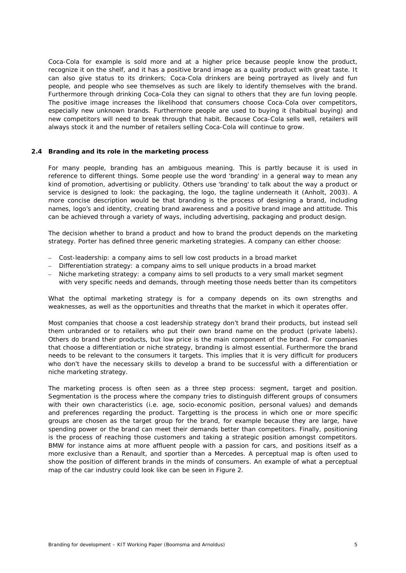Coca-Cola for example is sold more and at a higher price because people know the product, recognize it on the shelf, and it has a positive brand image as a quality product with great taste. It can also give status to its drinkers; Coca-Cola drinkers are being portrayed as lively and fun people, and people who see themselves as such are likely to identify themselves with the brand. Furthermore through drinking Coca-Cola they can signal to others that they are fun loving people. The positive image increases the likelihood that consumers choose Coca-Cola over competitors, especially new unknown brands. Furthermore people are used to buying it (habitual buying) and new competitors will need to break through that habit. Because Coca-Cola sells well, retailers will always stock it and the number of retailers selling Coca-Cola will continue to grow.

#### <span id="page-8-0"></span>**2.4 Branding and its role in the marketing process**

For many people, branding has an ambiguous meaning. This is partly because it is used in reference to different things. Some people use the word 'branding' in a general way to mean any kind of promotion, advertising or publicity. Others use 'branding' to talk about the way a product or service is designed to look: the packaging, the logo, the tagline underneath it (Anholt, 2003). A more concise description would be that branding is the process of designing a brand, including names, logo's and identity, creating brand awareness and a positive brand image and attitude. This can be achieved through a variety of ways, including advertising, packaging and product design.

The decision whether to brand a product and how to brand the product depends on the marketing strategy. Porter has defined three generic marketing strategies. A company can either choose:

- Cost-leadership: a company aims to sell low cost products in a broad market
- Differentiation strategy: a company aims to sell unique products in a broad market
- Niche marketing strategy: a company aims to sell products to a very small market segment with very specific needs and demands, through meeting those needs better than its competitors

What the optimal marketing strategy is for a company depends on its own strengths and weaknesses, as well as the opportunities and threaths that the market in which it operates offer.

Most companies that choose a cost leadership strategy don't brand their products, but instead sell them unbranded or to retailers who put their own brand name on the product (private labels). Others do brand their products, but low price is the main component of the brand. For companies that choose a differentiation or niche strategy, branding is almost essential. Furthermore the brand needs to be relevant to the consumers it targets. This implies that it is very difficult for producers who don't have the necessary skills to develop a brand to be successful with a differentiation or niche marketing strategy.

The marketing process is often seen as a three step process: segment, target and position. Segmentation is the process where the company tries to distinguish different groups of consumers with their own characteristics (i.e. age, socio-economic position, personal values) and demands and preferences regarding the product. Targetting is the process in which one or more specific groups are chosen as the target group for the brand, for example because they are large, have spending power or the brand can meet their demands better than competitors. Finally, positioning is the process of reaching those customers and taking a strategic position amongst competitors. BMW for instance aims at more affluent people with a passion for cars, and positions itself as a more exclusive than a Renault, and sportier than a Mercedes. A perceptual map is often used to show the position of different brands in the minds of consumers. An example of what a perceptual map of the car industry could look like can be seen in Figure 2.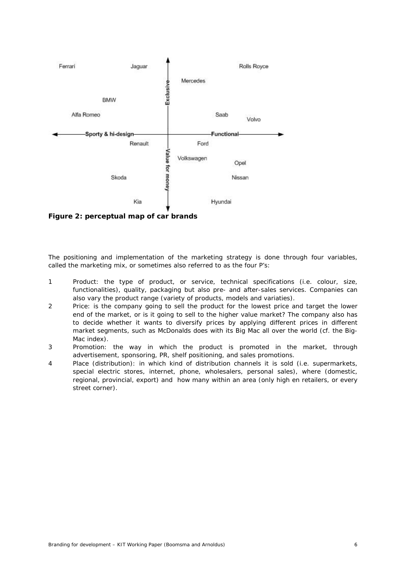

**Figure 2: perceptual map of car brands** 

The positioning and implementation of the marketing strategy is done through four variables, called the marketing mix, or sometimes also referred to as the four *P*'s:

- 1 Product: the type of product, or service, technical specifications (i.e. colour, size, functionalities), quality, packaging but also pre- and after-sales services. Companies can also vary the product range (variety of products, models and variaties).
- 2 Price: is the company going to sell the product for the lowest price and target the lower end of the market, or is it going to sell to the higher value market? The company also has to decide whether it wants to diversify prices by applying different prices in different market segments, such as McDonalds does with its Big Mac all over the world (cf. the Big-Mac index).
- 3 Promotion: the way in which the product is promoted in the market, through advertisement, sponsoring, PR, shelf positioning, and sales promotions.
- 4 Place (distribution): in which kind of distribution channels it is sold (i.e. supermarkets, special electric stores, internet, phone, wholesalers, personal sales), where (domestic, regional, provincial, export) and how many within an area (only high en retailers, or every street corner).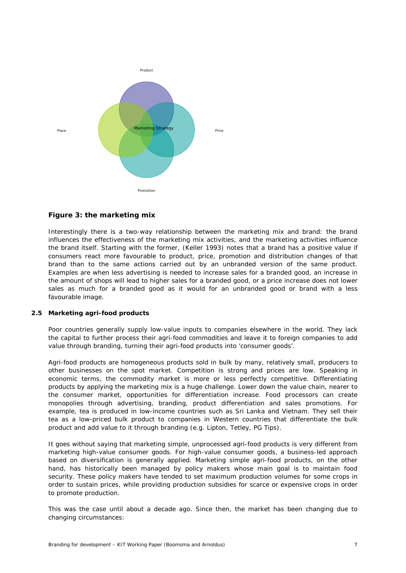

# **Figure 3: the marketing mix**

Interestingly there is a two-way relationship between the marketing mix and brand: the brand influences the effectiveness of the marketing mix activities, and the marketing activities influence the brand itself. Starting with the former, (Keller 1993) notes that a brand has a positive value if consumers react more favourable to product, price, promotion and distribution changes of that brand than to the same actions carried out by an unbranded version of the same product. Examples are when less advertising is needed to increase sales for a branded good, an increase in the amount of shops will lead to higher sales for a branded good, or a price increase does not lower sales as much for a branded good as it would for an unbranded good or brand with a less favourable image.

#### <span id="page-10-0"></span>**2.5 Marketing agri-food products**

Poor countries generally supply low-value inputs to companies elsewhere in the world. They lack the capital to further process their agri-food commodities and leave it to foreign companies to add value through branding, turning their agri-food products into 'consumer goods'.

Agri-food products are homogeneous products sold in bulk by many, relatively small, producers to other businesses on the spot market. Competition is strong and prices are low. Speaking in economic terms, the commodity market is more or less perfectly competitive. Differentiating products by applying the marketing mix is a huge challenge. Lower down the value chain, nearer to the consumer market, opportunities for differentiation increase. Food processors can create monopolies through advertising, branding, product differentiation and sales promotions. For example, tea is produced in low-income countries such as Sri Lanka and Vietnam. They sell their tea as a low-priced bulk product to companies in Western countries that differentiate the bulk product and add value to it through branding (e.g. Lipton, Tetley, PG Tips).

It goes without saying that marketing simple, unprocessed agri-food products is very different from marketing high-value consumer goods. For high-value consumer goods, a business-led approach based on diversification is generally applied. Marketing simple agri-food products, on the other hand, has historically been managed by policy makers whose main goal is to maintain food security. These policy makers have tended to set maximum production volumes for some crops in order to sustain prices, while providing production subsidies for scarce or expensive crops in order to promote production.

This was the case until about a decade ago. Since then, the market has been changing due to changing circumstances: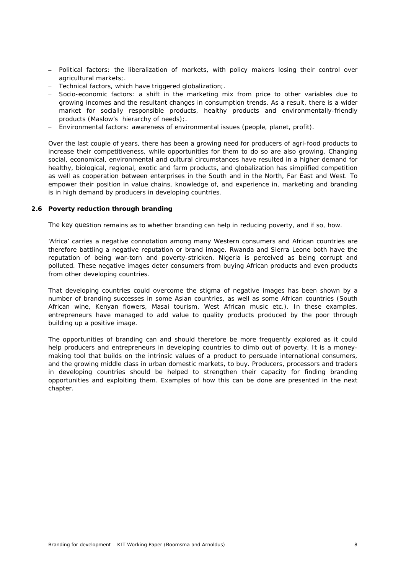- Political factors: the liberalization of markets, with policy makers losing their control over agricultural markets;.
- Technical factors, which have triggered globalization;.
- Socio-economic factors: a shift in the marketing mix from price to other variables due to growing incomes and the resultant changes in consumption trends. As a result, there is a wider market for socially responsible products, healthy products and environmentally-friendly products (Maslow's hierarchy of needs);.
- Environmental factors: awareness of environmental issues (people, planet, profit).

Over the last couple of years, there has been a growing need for producers of agri-food products to increase their competitiveness, while opportunities for them to do so are also growing. Changing social, economical, environmental and cultural circumstances have resulted in a higher demand for healthy, biological, regional, exotic and farm products, and globalization has simplified competition as well as cooperation between enterprises in the South and in the North, Far East and West. To empower their position in value chains, knowledge of, and experience in, marketing and branding is in high demand by producers in developing countries.

#### <span id="page-11-0"></span>**2.6 Poverty reduction through branding**

The key question remains as to whether branding can help in reducing poverty, and if so, how.

'Africa' carries a negative connotation among many Western consumers and African countries are therefore battling a negative reputation or brand image. Rwanda and Sierra Leone both have the reputation of being war-torn and poverty-stricken. Nigeria is perceived as being corrupt and polluted. These negative images deter consumers from buying African products and even products from other developing countries.

That developing countries could overcome the stigma of negative images has been shown by a number of branding successes in some Asian countries, as well as some African countries (South African wine, Kenyan flowers, Masai tourism, West African music etc.). In these examples, entrepreneurs have managed to add value to quality products produced by the poor through building up a positive image.

The opportunities of branding can and should therefore be more frequently explored as it could help producers and entrepreneurs in developing countries to climb out of poverty. It is a moneymaking tool that builds on the intrinsic values of a product to persuade international consumers, and the growing middle class in urban domestic markets, to buy. Producers, processors and traders in developing countries should be helped to strengthen their capacity for finding branding opportunities and exploiting them. Examples of how this can be done are presented in the next chapter.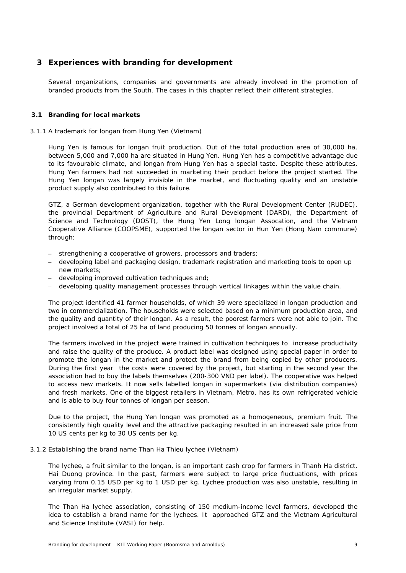# <span id="page-12-0"></span>**3 Experiences with branding for development**

Several organizations, companies and governments are already involved in the promotion of branded products from the South. The cases in this chapter reflect their different strategies.

#### <span id="page-12-1"></span>**3.1 Branding for local markets**

#### <span id="page-12-2"></span>*3.1.1 A trademark for longan from Hung Yen (Vietnam)*

Hung Yen is famous for longan fruit production. Out of the total production area of 30,000 ha, between 5,000 and 7,000 ha are situated in Hung Yen. Hung Yen has a competitive advantage due to its favourable climate, and longan from Hung Yen has a special taste. Despite these attributes, Hung Yen farmers had not succeeded in marketing their product before the project started. The Hung Yen longan was largely invisible in the market, and fluctuating quality and an unstable product supply also contributed to this failure.

GTZ, a German development organization, together with the Rural Development Center (RUDEC), the provincial Department of Agriculture and Rural Development (DARD), the Department of Science and Technology (DOST), the Hung Yen Long longan Assocation, and the Vietnam Cooperative Alliance (COOPSME), supported the longan sector in Hun Yen (Hong Nam commune) through:

- strengthening a cooperative of growers, processors and traders;
- developing label and packaging design, trademark registration and marketing tools to open up new markets;
- developing improved cultivation techniques and;
- developing quality management processes through vertical linkages within the value chain.

The project identified 41 farmer households, of which 39 were specialized in longan production and two in commercialization. The households were selected based on a minimum production area, and the quality and quantity of their longan. As a result, the poorest farmers were not able to join. The project involved a total of 25 ha of land producing 50 tonnes of longan annually.

The farmers involved in the project were trained in cultivation techniques to increase productivity and raise the quality of the produce. A product label was designed using special paper in order to promote the longan in the market and protect the brand from being copied by other producers. During the first year the costs were covered by the project, but starting in the second year the association had to buy the labels themselves (200-300 VND per label). The cooperative was helped to access new markets. It now sells labelled longan in supermarkets (via distribution companies) and fresh markets. One of the biggest retailers in Vietnam, Metro, has its own refrigerated vehicle and is able to buy four tonnes of longan per season.

Due to the project, the Hung Yen longan was promoted as a homogeneous, premium fruit. The consistently high quality level and the attractive packaging resulted in an increased sale price from 10 US cents per kg to 30 US cents per kg.

#### <span id="page-12-3"></span>*3.1.2 Establishing the brand name Than Ha Thieu lychee (Vietnam)*

The lychee, a fruit similar to the longan, is an important cash crop for farmers in Thanh Ha district, Hai Duong province. In the past, farmers were subject to large price fluctuations, with prices varying from 0.15 USD per kg to 1 USD per kg. Lychee production was also unstable, resulting in an irregular market supply.

The Than Ha lychee association, consisting of 150 medium-income level farmers, developed the idea to establish a brand name for the lychees. It approached GTZ and the Vietnam Agricultural and Science Institute (VASI) for help.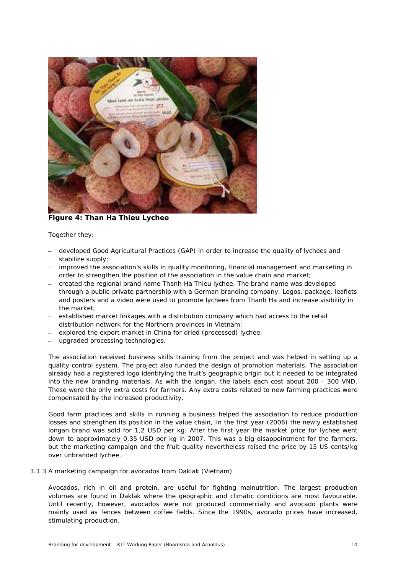

**Figure 4: Than Ha Thieu Lychee** 

Together they:

- developed Good Agricultural Practices (GAP) in order to increase the quality of lychees and stabilize supply;
- improved the association's skills in quality monitoring, financial management and marketing in order to strengthen the position of the association in the value chain and market;
- created the regional brand name Thanh Ha Thieu lychee. The brand name was developed through a public-private partnership with a German branding company. Logos, package, leaflets and posters and a video were used to promote lychees from Thanh Ha and increase visibility in the market;
- established market linkages with a distribution company which had access to the retail distribution network for the Northern provinces in Vietnam;
- explored the export market in China for dried (processed) lychee;
- upgraded processing technologies.

The association received business skills training from the project and was helped in setting up a quality control system. The project also funded the design of promotion materials. The association already had a registered logo identifying the fruit's geographic origin but it needed to be integrated into the new branding materials. As with the longan, the labels each cost about 200 - 300 VND. These were the only extra costs for farmers. Any extra costs related to new farming practices were compensated by the increased productivity.

Good farm practices and skills in running a business helped the association to reduce production losses and strengthen its position in the value chain, In the first year (2006) the newly established longan brand was sold for 1,2 USD per kg. After the first year the market price for lychee went down to approximately 0,35 USD per kg in 2007. This was a big disappointment for the farmers, but the marketing campaign and the fruit quality nevertheless raised the price by 15 US cents/kg over unbranded lychee.

#### <span id="page-13-0"></span>*3.1.3 A marketing campaign for avocados from Daklak (Vietnam)*

Avocados, rich in oil and protein, are useful for fighting malnutrition. The largest production volumes are found in Daklak where the geographic and climatic conditions are most favourable. Until recently, however, avocados were not produced commercially and avocado plants were mainly used as fences between coffee fields. Since the 1990s, avocado prices have increased, stimulating production.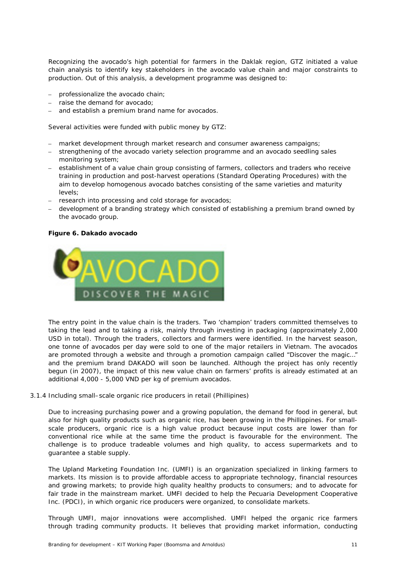Recognizing the avocado's high potential for farmers in the Daklak region, GTZ initiated a value chain analysis to identify key stakeholders in the avocado value chain and major constraints to production. Out of this analysis, a development programme was designed to:

- professionalize the avocado chain;
- raise the demand for avocado;
- and establish a premium brand name for avocados.

Several activities were funded with public money by GTZ:

- market development through market research and consumer awareness campaigns;
- strengthening of the avocado variety selection programme and an avocado seedling sales monitoring system;
- establishment of a value chain group consisting of farmers, collectors and traders who receive training in production and post-harvest operations (Standard Operating Procedures) with the aim to develop homogenous avocado batches consisting of the same varieties and maturity levels;
- research into processing and cold storage for avocados;
- development of a branding strategy which consisted of establishing a premium brand owned by the avocado group.

#### **Figure 6. Dakado avocado**



The entry point in the value chain is the traders. Two 'champion' traders committed themselves to taking the lead and to taking a risk, mainly through investing in packaging (approximately 2,000 USD in total). Through the traders, collectors and farmers were identified. In the harvest season, one tonne of avocados per day were sold to one of the major retailers in Vietnam. The avocados are promoted through a website and through a promotion campaign called "Discover the magic…" and the premium brand DAKADO will soon be launched. Although the project has only recently begun (in 2007), the impact of this new value chain on farmers' profits is already estimated at an additional 4,000 - 5,000 VND per kg of premium avocados.

## <span id="page-14-0"></span>*3.1.4 Including small–scale organic rice producers in retail (Phillipines)*

Due to increasing purchasing power and a growing population, the demand for food in general, but also for high quality products such as organic rice, has been growing in the Phillippines. For smallscale producers, organic rice is a high value product because input costs are lower than for conventional rice while at the same time the product is favourable for the environment. The challenge is to produce tradeable volumes and high quality, to access supermarkets and to guarantee a stable supply.

The Upland Marketing Foundation Inc. (UMFI) is an organization specialized in linking farmers to markets. Its mission is to provide affordable access to appropriate technology, financial resources and growing markets; to provide high quality healthy products to consumers; and to advocate for fair trade in the mainstream market. UMFI decided to help the Pecuaria Development Cooperative Inc. (PDCI), in which organic rice producers were organized, to consolidate markets.

Through UMFI, major innovations were accomplished. UMFI helped the organic rice farmers through trading community products. It believes that providing market information, conducting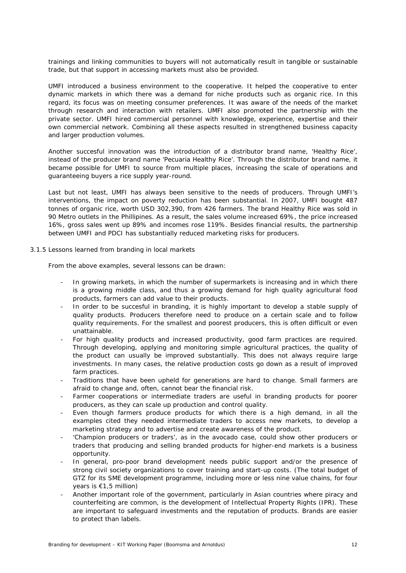trainings and linking communities to buyers will not automatically result in tangible or sustainable trade, but that support in accessing markets must also be provided.

UMFI introduced a business environment to the cooperative. It helped the cooperative to enter dynamic markets in which there was a demand for niche products such as organic rice. In this regard, its focus was on meeting consumer preferences. It was aware of the needs of the market through research and interaction with retailers. UMFI also promoted the partnership with the private sector. UMFI hired commercial personnel with knowledge, experience, expertise and their own commercial network. Combining all these aspects resulted in strengthened business capacity and larger production volumes.

Another succesful innovation was the introduction of a distributor brand name, 'Healthy Rice', instead of the producer brand name 'Pecuaria Healthy Rice'. Through the distributor brand name, it became possible for UMFI to source from multiple places, increasing the scale of operations and guaranteeing buyers a rice supply year-round.

Last but not least, UMFI has always been sensitive to the needs of producers. Through UMFI's interventions, the impact on poverty reduction has been substantial. In 2007, UMFI bought 487 tonnes of organic rice, worth USD 302,390, from 426 farmers. The brand Healthy Rice was sold in 90 Metro outlets in the Phillipines. As a result, the sales volume increased 69%, the price increased 16%, gross sales went up 89% and incomes rose 119%. Besides financial results, the partnership between UMFI and PDCI has substantially reduced marketing risks for producers.

#### <span id="page-15-0"></span>*3.1.5 Lessons learned from branding in local markets*

From the above examples, several lessons can be drawn:

- In growing markets, in which the number of supermarkets is increasing and in which there is a growing middle class, and thus a growing demand for high quality agricultural food products, farmers can add value to their products.
- In order to be succesful in branding, it is highly important to develop a stable supply of quality products. Producers therefore need to produce on a certain scale and to follow quality requirements. For the smallest and poorest producers, this is often difficult or even unattainable.
- For high quality products and increased productivity, good farm practices are required. Through developing, applying and monitoring simple agricultural practices, the quality of the product can usually be improved substantially. This does not always require large investments. In many cases, the relative production costs go down as a result of improved farm practices.
- Traditions that have been upheld for generations are hard to change. Small farmers are afraid to change and, often, cannot bear the financial risk.
- Farmer cooperations or intermediate traders are useful in branding products for poorer producers, as they can scale up production and control quality.
- Even though farmers produce products for which there is a high demand, in all the examples cited they needed intermediate traders to access new markets, to develop a marketing strategy and to advertise and create awareness of the product.
- 'Champion producers or traders', as in the avocado case, could show other producers or traders that producing and selling branded products for higher-end markets is a business opportunity.
- In general, pro-poor brand development needs public support and/or the presence of strong civil society organizations to cover training and start-up costs. (The total budget of GTZ for its SME development programme, including more or less nine value chains, for four years is €1,5 million)
- Another important role of the government, particularly in Asian countries where piracy and counterfeiting are common, is the development of Intellectual Property Rights (IPR). These are important to safeguard investments and the reputation of products. Brands are easier to protect than labels.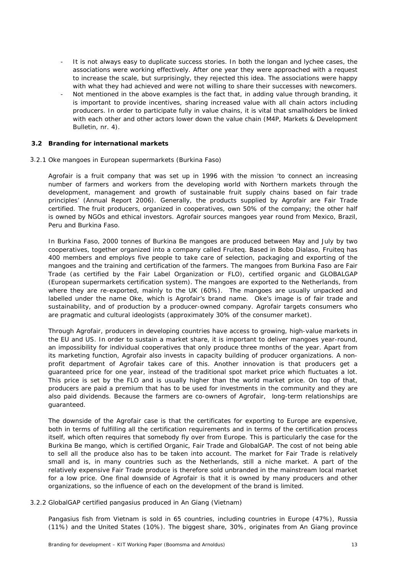- It is not always easy to duplicate success stories. In both the longan and lychee cases, the associations were working effectively. After one year they were approached with a request to increase the scale, but surprisingly, they rejected this idea. The associations were happy with what they had achieved and were not willing to share their successes with newcomers.
- Not mentioned in the above examples is the fact that, in adding value through branding, it is important to provide incentives, sharing increased value with all chain actors including producers. In order to participate fully in value chains, it is vital that smallholders be linked with each other and other actors lower down the value chain (M4P, Markets & Development Bulletin, nr. 4).

#### <span id="page-16-0"></span>**3.2 Branding for international markets**

#### <span id="page-16-1"></span>*3.2.1 Oke mangoes in European supermarkets (Burkina Faso)*

Agrofair is a fruit company that was set up in 1996 with the mission 'to connect an increasing number of farmers and workers from the developing world with Northern markets through the development, management and growth of sustainable fruit supply chains based on fair trade principles' (Annual Report 2006). Generally, the products supplied by Agrofair are Fair Trade certified. The fruit producers, organized in cooperatives, own 50% of the company; the other half is owned by NGOs and ethical investors. Agrofair sources mangoes year round from Mexico, Brazil, Peru and Burkina Faso.

In Burkina Faso, 2000 tonnes of Burkina Be mangoes are produced between May and July by two cooperatives, together organized into a company called Fruiteq. Based in Bobo Dialaso, Fruiteq has 400 members and employs five people to take care of selection, packaging and exporting of the mangoes and the training and certification of the farmers. The mangoes from Burkina Faso are Fair Trade (as certified by the Fair Label Organization or FLO), certified organic and GLOBALGAP (European supermarkets certification system). The mangoes are exported to the Netherlands, from where they are re-exported, mainly to the UK (60%). The mangoes are usually unpacked and labelled under the name Oke, which is Agrofair's brand name. Oke's image is of fair trade and sustainability, and of production by a producer-owned company. Agrofair targets consumers who are pragmatic and cultural ideologists (approximately 30% of the consumer market).

Through Agrofair, producers in developing countries have access to growing, high-value markets in the EU and US. In order to sustain a market share, it is important to deliver mangoes year-round, an impossibility for individual cooperatives that only produce three months of the year. Apart from its marketing function, Agrofair also invests in capacity building of producer organizations. A nonprofit department of Agrofair takes care of this. Another innovation is that producers get a guaranteed price for one year, instead of the traditional spot market price which fluctuates a lot. This price is set by the FLO and is usually higher than the world market price. On top of that, producers are paid a premium that has to be used for investments in the community and they are also paid dividends. Because the farmers are co-owners of Agrofair, long-term relationships are guaranteed.

The downside of the Agrofair case is that the certificates for exporting to Europe are expensive, both in terms of fulfilling all the certification requirements and in terms of the certification process itself, which often requires that somebody fly over from Europe. This is particularly the case for the Burkina Be mango, which is certified Organic, Fair Trade and GlobalGAP. The cost of not being able to sell all the produce also has to be taken into account. The market for Fair Trade is relatively small and is, in many countries such as the Netherlands, still a niche market. A part of the relatively expensive Fair Trade produce is therefore sold unbranded in the mainstream local market for a low price. One final downside of Agrofair is that it is owned by many producers and other organizations, so the influence of each on the development of the brand is limited.

#### <span id="page-16-2"></span>*3.2.2 GlobalGAP certified pangasius produced in An Giang (Vietnam)*

Pangasius fish from Vietnam is sold in 65 countries, including countries in Europe (47%), Russia (11%) and the United States (10%). The biggest share, 30%, originates from An Giang province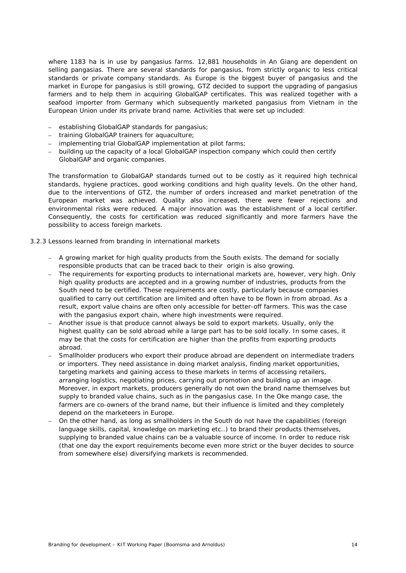where 1183 ha is in use by pangasius farms. 12,881 households in An Giang are dependent on selling pangasias. There are several standards for pangasius, from strictly organic to less critical standards or private company standards. As Europe is the biggest buyer of pangasius and the market in Europe for pangasius is still growing, GTZ decided to support the upgrading of pangasius farmers and to help them in acquiring GlobalGAP certificates. This was realized together with a seafood importer from Germany which subsequently marketed pangasius from Vietnam in the European Union under its private brand name. Activities that were set up included:

- establishing GlobalGAP standards for pangasius;
- training GlobalGAP trainers for aquaculture;
- implementing trial GlobalGAP implementation at pilot farms;
- building up the capacity of a local GlobalGAP inspection company which could then certify GlobalGAP and organic companies.

The transformation to GlobalGAP standards turned out to be costly as it required high technical standards, hygiene practices, good working conditions and high quality levels. On the other hand, due to the interventions of GTZ, the number of orders increased and market penetration of the European market was achieved. Quality also increased, there were fewer rejections and environmental risks were reduced. A major innovation was the establishment of a local certifier. Consequently, the costs for certification was reduced significantly and more farmers have the possibility to access foreign markets.

#### <span id="page-17-0"></span>*3.2.3 Lessons learned from branding in international markets*

- A growing market for high quality products from the South exists. The demand for socially responsible products that can be traced back to their origin is also growing.
- The requirements for exporting products to international markets are, however, very high. Only high quality products are accepted and in a growing number of industries, products from the South need to be certified. These requirements are costly, particularly because companies qualified to carry out certification are limited and often have to be flown in from abroad. As a result, export value chains are often only accessible for better-off farmers. This was the case with the pangasius export chain, where high investments were required.
- Another issue is that produce cannot always be sold to export markets. Usually, only the highest quality can be sold abroad while a large part has to be sold locally. In some cases, it may be that the costs for certification are higher than the profits from exporting products abroad.
- Smallholder producers who export their produce abroad are dependent on intermediate traders or importers. They need assistance in doing market analysis, finding market opportunities, targeting markets and gaining access to these markets in terms of accessing retailers, arranging logistics, negotiating prices, carrying out promotion and building up an image. Moreover, in export markets, producers generally do not own the brand name themselves but supply to branded value chains, such as in the pangasius case. In the Oke mango case, the farmers are co-owners of the brand name, but their influence is limited and they completely depend on the marketeers in Europe.
- On the other hand, as long as smallholders in the South do not have the capabilities (foreign language skills, capital, knowledge on marketing etc..) to brand their products themselves, supplying to branded value chains can be a valuable source of income. In order to reduce risk (that one day the export requirements become even more strict or the buyer decides to source from somewhere else) diversifying markets is recommended.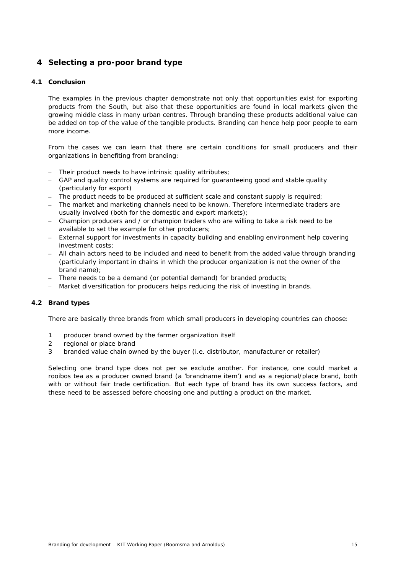# <span id="page-18-0"></span>**4 Selecting a pro-poor brand type**

#### <span id="page-18-1"></span>**4.1 Conclusion**

The examples in the previous chapter demonstrate not only that opportunities exist for exporting products from the South, but also that these opportunities are found in local markets given the growing middle class in many urban centres. Through branding these products additional value can be added on top of the value of the tangible products. Branding can hence help poor people to earn more income.

From the cases we can learn that there are certain conditions for small producers and their organizations in benefiting from branding:

- Their product needs to have intrinsic quality attributes;
- GAP and quality control systems are required for guaranteeing good and stable quality (particularly for export)
- The product needs to be produced at sufficient scale and constant supply is required;
- The market and marketing channels need to be known. Therefore intermediate traders are usually involved (both for the domestic and export markets);
- Champion producers and / or champion traders who are willing to take a risk need to be available to set the example for other producers;
- External support for investments in capacity building and enabling environment help covering investment costs;
- All chain actors need to be included and need to benefit from the added value through branding (particularly important in chains in which the producer organization is not the owner of the brand name);
- There needs to be a demand (or potential demand) for branded products;
- Market diversification for producers helps reducing the risk of investing in brands.

#### <span id="page-18-2"></span>**4.2 Brand types**

There are basically three brands from which small producers in developing countries can choose:

- 1 producer brand owned by the farmer organization itself
- 2 regional or place brand
- 3 branded value chain owned by the buyer (i.e. distributor, manufacturer or retailer)

Selecting one brand type does not per se exclude another. For instance, one could market a rooibos tea as a producer owned brand (a 'brandname item') and as a regional/place brand, both with or without fair trade certification. But each type of brand has its own success factors, and these need to be assessed before choosing one and putting a product on the market.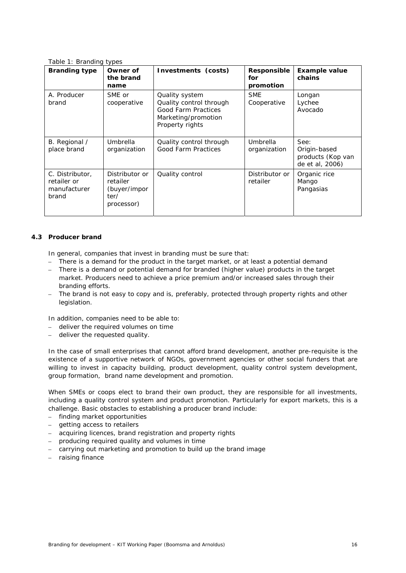| Table 1: Branding types                                 |                                                                  |                                                                                                            |                                 |                                                                     |
|---------------------------------------------------------|------------------------------------------------------------------|------------------------------------------------------------------------------------------------------------|---------------------------------|---------------------------------------------------------------------|
| <b>Branding type</b>                                    | Owner of<br>the brand<br>name                                    | Investments (costs)                                                                                        | Responsible<br>for<br>promotion | <b>Example value</b><br>chains                                      |
| A. Producer<br>brand                                    | SME or<br>cooperative                                            | Quality system<br>Quality control through<br>Good Farm Practices<br>Marketing/promotion<br>Property rights | <b>SME</b><br>Cooperative       | Longan<br>Lychee<br>Avocado                                         |
| B. Regional /<br>place brand                            | Umbrella<br>organization                                         | Quality control through<br>Good Farm Practices                                                             | Umbrella<br>organization        | See:<br>Origin-based<br><i>products</i> (Kop van<br>de et al, 2006) |
| C. Distributor,<br>retailer or<br>manufacturer<br>brand | Distributor or<br>retailer<br>(buyer/impor<br>ter/<br>processor) | Quality control                                                                                            | Distributor or<br>retailer      | Organic rice<br>Mango<br>Pangasias                                  |

## <span id="page-19-0"></span>**4.3 Producer brand**

In general, companies that invest in branding must be sure that:

- There is a demand for the product in the target market, or at least a potential demand
- There is a demand or potential demand for branded (higher value) products in the target market. Producers need to achieve a price premium and/or increased sales through their branding efforts.
- The brand is not easy to copy and is, preferably, protected through property rights and other legislation.

In addition, companies need to be able to:

- deliver the required volumes on time
- deliver the requested quality.

In the case of small enterprises that cannot afford brand development, another pre-requisite is the existence of a supportive network of NGOs, government agencies or other social funders that are willing to invest in capacity building, product development, quality control system development, group formation, brand name development and promotion.

When SMEs or coops elect to brand their own product, they are responsible for all investments, including a quality control system and product promotion. Particularly for export markets, this is a challenge. Basic obstacles to establishing a producer brand include:

- finding market opportunities
- getting access to retailers
- acquiring licences, brand registration and property rights
- producing required quality and volumes in time
- carrying out marketing and promotion to build up the brand image
- raising finance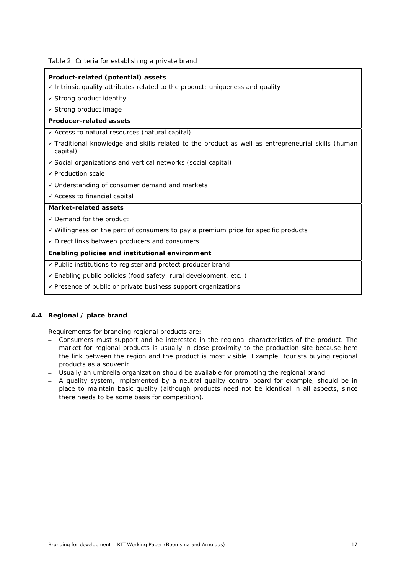Table 2. Criteria for establishing a private brand

#### **Product-related (potential) assets**

- $\checkmark$  Intrinsic quality attributes related to the product: uniqueness and quality
- $\checkmark$  Strong product identity
- $\checkmark$  Strong product image

#### **Producer-related assets**

- $\checkmark$  Access to natural resources (natural capital)
- Traditional knowledge and skills related to the product as well as entrepreneurial skills (human capital)
- $\checkmark$  Social organizations and vertical networks (social capital)
- $\checkmark$  Production scale
- Understanding of consumer demand and markets
- $\checkmark$  Access to financial capital

#### **Market-related assets**

- $\checkmark$  Demand for the product
- $\checkmark$  Willingness on the part of consumers to pay a premium price for specific products
- $\checkmark$  Direct links between producers and consumers

#### **Enabling policies and institutional environment**

- $\checkmark$  Public institutions to register and protect producer brand
- Enabling public policies (food safety, rural development, etc..)
- $\checkmark$  Presence of public or private business support organizations

#### <span id="page-20-0"></span>**4.4 Regional / place brand**

Requirements for branding regional products are:

- Consumers must support and be interested in the regional characteristics of the product. The market for regional products is usually in close proximity to the production site because here the link between the region and the product is most visible. Example: tourists buying regional products as a souvenir.
- Usually an umbrella organization should be available for promoting the regional brand.
- A quality system, implemented by a neutral quality control board for example, should be in place to maintain basic quality (although products need not be identical in all aspects, since there needs to be some basis for competition).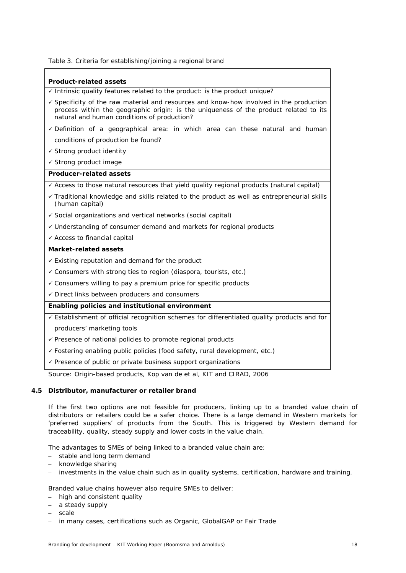Table 3. Criteria for establishing/joining a regional brand

# **Product-related assets**   $\checkmark$  Intrinsic quality features related to the product: is the product unique?  $\checkmark$  Specificity of the raw material and resources and know-how involved in the production process within the geographic origin: is the uniqueness of the product related to its natural and human conditions of production?  $\checkmark$  Definition of a geographical area: in which area can these natural and human conditions of production be found?  $\checkmark$  Strong product identity  $\checkmark$  Strong product image **Producer-related assets**   $\checkmark$  Access to those natural resources that yield quality regional products (natural capital)  $\checkmark$  Traditional knowledge and skills related to the product as well as entrepreneurial skills (human capital)  $\checkmark$  Social organizations and vertical networks (social capital) Understanding of consumer demand and markets for regional products  $\checkmark$  Access to financial capital **Market-related assets**   $\checkmark$  Existing reputation and demand for the product  $\checkmark$  Consumers with strong ties to region (diaspora, tourists, etc.)  $\checkmark$  Consumers willing to pay a premium price for specific products  $\checkmark$  Direct links between producers and consumers **Enabling policies and institutional environment**   $\checkmark$  Establishment of official recognition schemes for differentiated quality products and for producers' marketing tools  $\checkmark$  Presence of national policies to promote regional products Fostering enabling public policies (food safety, rural development, etc.)  $\checkmark$  Presence of public or private business support organizations

Source: Origin-based products, Kop van de et al, KIT and CIRAD, 2006

# <span id="page-21-0"></span>**4.5 Distributor, manufacturer or retailer brand**

If the first two options are not feasible for producers, linking up to a branded value chain of distributors or retailers could be a safer choice. There is a large demand in Western markets for 'preferred suppliers' of products from the South. This is triggered by Western demand for traceability, quality, steady supply and lower costs in the value chain.

The advantages to SMEs of being linked to a branded value chain are:

- stable and long term demand
- knowledge sharing
- investments in the value chain such as in quality systems, certification, hardware and training.

Branded value chains however also require SMEs to deliver:

- high and consistent quality
- a steady supply
- scale
- in many cases, certifications such as Organic, GlobalGAP or Fair Trade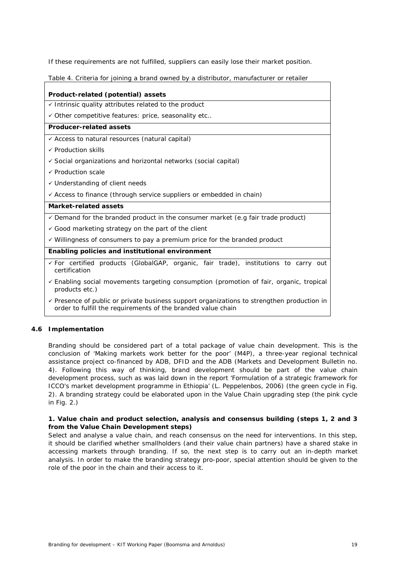If these requirements are not fulfilled, suppliers can easily lose their market position.

Table 4. Criteria for joining a brand owned by a distributor, manufacturer or retailer

| Product-related (potential) assets                                                                                                                                    |
|-----------------------------------------------------------------------------------------------------------------------------------------------------------------------|
| $\checkmark$ Intrinsic quality attributes related to the product                                                                                                      |
| $\checkmark$ Other competitive features: price, seasonality etc                                                                                                       |
| Producer-related assets                                                                                                                                               |
| ✓ Access to natural resources (natural capital)                                                                                                                       |
| $\checkmark$ Production skills                                                                                                                                        |
| ✓ Social organizations and horizontal networks (social capital)                                                                                                       |
| $\checkmark$ Production scale                                                                                                                                         |
| $\checkmark$ Understanding of client needs                                                                                                                            |
| ← Access to finance (through service suppliers or embedded in chain)                                                                                                  |
| Market-related assets                                                                                                                                                 |
| $\checkmark$ Demand for the branded product in the consumer market (e.g fair trade product)                                                                           |
| $\checkmark$ Good marketing strategy on the part of the client                                                                                                        |
| $\checkmark$ Willingness of consumers to pay a premium price for the branded product                                                                                  |
| Enabling policies and institutional environment                                                                                                                       |
| $\checkmark$ For certified products (GlobalGAP, organic, fair trade), institutions to carry out<br>certification                                                      |
| $\checkmark$ Enabling social movements targeting consumption (promotion of fair, organic, tropical<br>products etc.)                                                  |
| $\checkmark$ Presence of public or private business support organizations to strengthen production in<br>order to fulfill the requirements of the branded value chain |

# <span id="page-22-0"></span>**4.6 Implementation**

Branding should be considered part of a total package of value chain development. This is the conclusion of 'Making markets work better for the poor' (M4P), a three-year regional technical assistance project co-financed by ADB, DFID and the ADB (Markets and Development Bulletin no. 4). Following this way of thinking, brand development should be part of the value chain development process, such as was laid down in the report 'Formulation of a strategic framework for ICCO's market development programme in Ethiopia' (L. Peppelenbos, 2006) (the green cycle in Fig. 2). A branding strategy could be elaborated upon in the Value Chain upgrading step (the pink cycle in Fig.  $2.$ )

#### **1. Value chain and product selection, analysis and consensus building (steps 1, 2 and 3 from the Value Chain Development steps)**

Select and analyse a value chain, and reach consensus on the need for interventions. In this step, it should be clarified whether smallholders (and their value chain partners) have a shared stake in accessing markets through branding. If so, the next step is to carry out an in-depth market analysis. In order to make the branding strategy pro-poor, special attention should be given to the role of the poor in the chain and their access to it.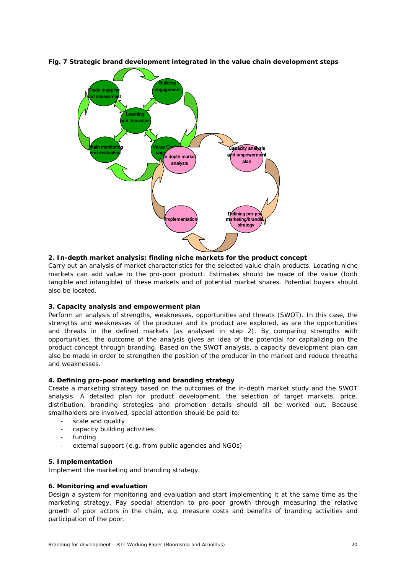

**Fig. 7 Strategic brand development integrated in the value chain development steps** 

## **2. In-depth market analysis: finding niche markets for the product concept**

Carry out an analysis of market characteristics for the selected value chain products. Locating niche markets can add value to the pro-poor product. Estimates should be made of the value (both tangible and intangible) of these markets and of potential market shares. Potential buyers should also be located.

#### **3. Capacity analysis and empowerment plan**

Perform an analysis of strengths, weaknesses, opportunities and threats (SWOT). In this case, the strengths and weaknesses of the producer and its product are explored, as are the opportunities and threats in the defined markets (as analysed in step 2). By comparing strengths with opportunities, the outcome of the analysis gives an idea of the potential for capitalizing on the product concept through branding. Based on the SWOT analysis, a capacity development plan can also be made in order to strengthen the position of the producer in the market and reduce threaths and weaknesses.

#### **4. Defining pro-poor marketing and branding strategy**

Create a marketing strategy based on the outcomes of the in-depth market study and the SWOT analysis. A detailed plan for product development, the selection of target markets, price, distribution, branding strategies and promotion details should all be worked out. Because smallholders are involved, special attention should be paid to:

- scale and quality
- capacity building activities
- funding
- external support (e.g. from public agencies and NGOs)

#### **5. Implementation**

Implement the marketing and branding strategy.

#### **6. Monitoring and evaluation**

Design a system for monitoring and evaluation and start implementing it at the same time as the marketing strategy. Pay special attention to pro-poor growth through measuring the relative growth of poor actors in the chain, e.g. measure costs and benefits of branding activities and participation of the poor.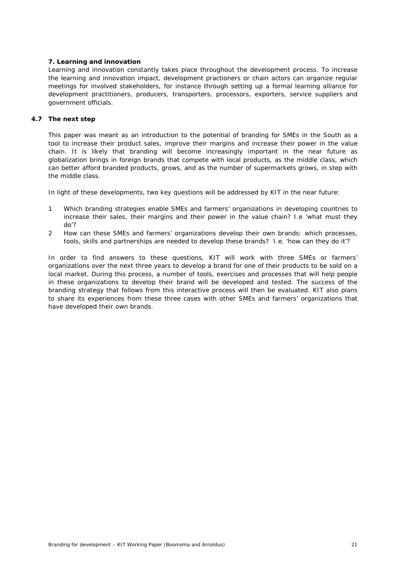## **7. Learning and innovation**

Learning and innovation constantly takes place throughout the development process. To increase the learning and innovation impact, development practioners or chain actors can organize regular meetings for involved stakeholders, for instance through setting up a formal learning alliance for development practitioners, producers, transporters, processors, exporters, service suppliers and government officials.

### <span id="page-24-0"></span>**4.7 The next step**

This paper was meant as an introduction to the potential of branding for SMEs in the South as a tool to increase their product sales, improve their margins and increase their power in the value chain. It is likely that branding will become increasingly important in the near future as globalization brings in foreign brands that compete with local products, as the middle class, which can better afford branded products, grows, and as the number of supermarkets grows, in step with the middle class.

In light of these developments, two key questions will be addressed by KIT in the near future:

- 1 Which branding strategies enable SMEs and farmers' organizations in developing countries to increase their sales, their margins and their power in the value chain? I.e 'what must they do'?
- 2 How can these SMEs and farmers' organizations develop their own brands: which processes, tools, skills and partnerships are needed to develop these brands? I.e. 'how can they do it'?

In order to find answers to these questions, KIT will work with three SMEs or farmers' organizations over the next three years to develop a brand for one of their products to be sold on a local market. During this process, a number of tools, exercises and processes that will help people in these organizations to develop their brand will be developed and tested. The success of the branding strategy that follows from this interactive process will then be evaluated. KIT also plans to share its experiences from these three cases with other SMEs and farmers' organizations that have developed their own brands.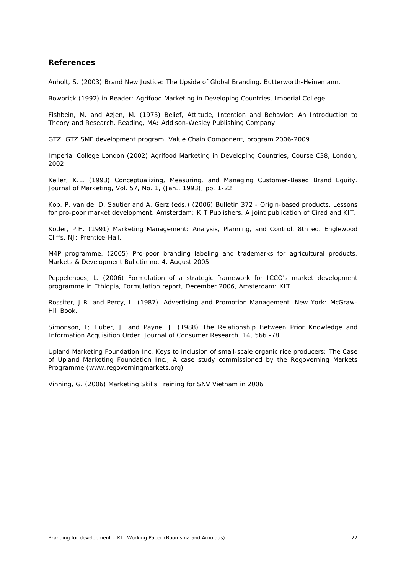# <span id="page-25-0"></span>**References**

Anholt, S. (2003) *Brand New Justice: The Upside of Global Branding*. Butterworth-Heinemann.

Bowbrick (1992) in Reader: Agrifood Marketing in Developing Countries, Imperial College

Fishbein, M. and Azjen, M. (1975) *Belief, Attitude, Intention and Behavior: An Introduction to Theory and Research.* Reading, MA: Addison-Wesley Publishing Company.

GTZ, GTZ SME development program, Value Chain Component, program 2006-2009

Imperial College London (2002) Agrifood Marketing in Developing Countries, Course C38, London, 2002

Keller, K.L. (1993) Conceptualizing, Measuring, and Managing Customer-Based Brand Equity. Journal of Marketing, Vol. 57, No. 1, (Jan., 1993), pp. 1-22

Kop, P. van de, D. Sautier and A. Gerz (eds.) (2006) Bulletin 372 - Origin-based products. Lessons for pro-poor market development. Amsterdam: KIT Publishers. A joint publication of Cirad and KIT.

Kotler, P.H. (1991) Marketing Management: Analysis, Planning, and Control. 8th ed. Englewood Cliffs, NJ: Prentice-Hall.

M4P programme. (2005) Pro-poor branding labeling and trademarks for agricultural products. Markets & Development Bulletin no. 4. August 2005

Peppelenbos, L. (2006) Formulation of a strategic framework for ICCO's market development programme in Ethiopia, Formulation report, December 2006, Amsterdam: KIT

Rossiter, J.R. and Percy, L. (1987). *Advertising and Promotion Management.* New York: McGraw-Hill Book.

Simonson, I; Huber, J. and Payne, J. (1988) The Relationship Between Prior Knowledge and Information Acquisition Order. *Journal of Consumer Research.* 14, 566 -78

Upland Marketing Foundation Inc, *Keys to inclusion of small-scale organic rice producers: The Case of Upland Marketing Foundation Inc.,* A case study commissioned by the Regoverning Markets Programme (www.regoverningmarkets.org)

Vinning, G. (2006) Marketing Skills Training for SNV Vietnam in 2006